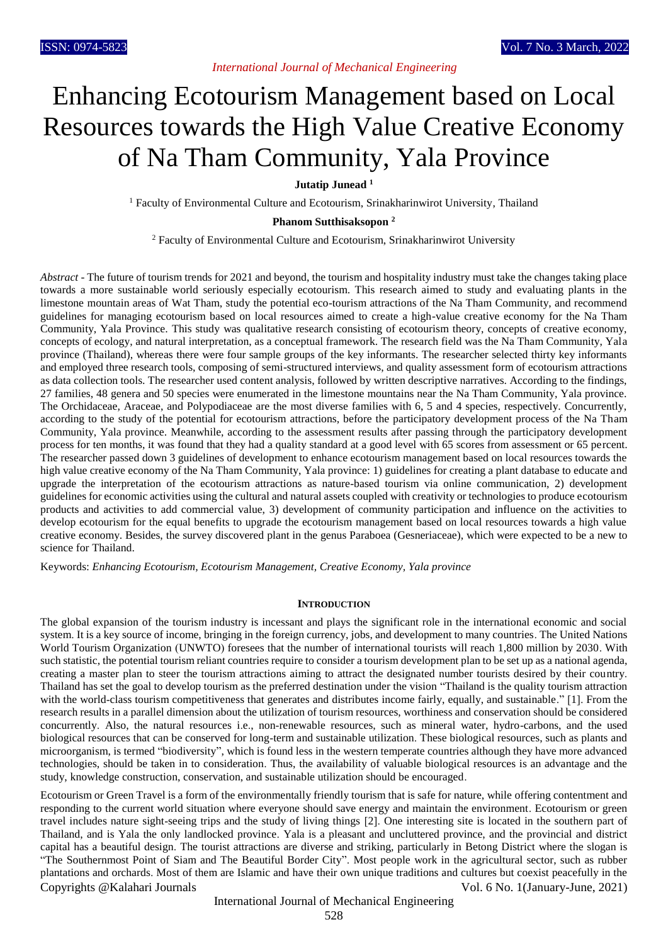# Enhancing Ecotourism Management based on Local Resources towards the High Value Creative Economy of Na Tham Community, Yala Province

**Jutatip Junead <sup>1</sup>**

<sup>1</sup> Faculty of Environmental Culture and Ecotourism, Srinakharinwirot University, Thailand

**Phanom Sutthisaksopon <sup>2</sup>**

<sup>2</sup> Faculty of Environmental Culture and Ecotourism, Srinakharinwirot University

*Abstract* - The future of tourism trends for 2021 and beyond, the tourism and hospitality industry must take the changes taking place towards a more sustainable world seriously especially ecotourism. This research aimed to study and evaluating plants in the limestone mountain areas of Wat Tham, study the potential eco-tourism attractions of the Na Tham Community, and recommend guidelines for managing ecotourism based on local resources aimed to create a high-value creative economy for the Na Tham Community, Yala Province. This study was qualitative research consisting of ecotourism theory, concepts of creative economy, concepts of ecology, and natural interpretation, as a conceptual framework. The research field was the Na Tham Community, Yala province (Thailand), whereas there were four sample groups of the key informants. The researcher selected thirty key informants and employed three research tools, composing of semi-structured interviews, and quality assessment form of ecotourism attractions as data collection tools. The researcher used content analysis, followed by written descriptive narratives. According to the findings, 27 families, 48 genera and 50 species were enumerated in the limestone mountains near the Na Tham Community, Yala province. The Orchidaceae, Araceae, and Polypodiaceae are the most diverse families with 6, 5 and 4 species, respectively. Concurrently, according to the study of the potential for ecotourism attractions, before the participatory development process of the Na Tham Community, Yala province. Meanwhile, according to the assessment results after passing through the participatory development process for ten months, it was found that they had a quality standard at a good level with 65 scores from assessment or 65 percent. The researcher passed down 3 guidelines of development to enhance ecotourism management based on local resources towards the high value creative economy of the Na Tham Community, Yala province: 1) guidelines for creating a plant database to educate and upgrade the interpretation of the ecotourism attractions as nature-based tourism via online communication, 2) development guidelines for economic activities using the cultural and natural assets coupled with creativity or technologies to produce ecotourism products and activities to add commercial value, 3) development of community participation and influence on the activities to develop ecotourism for the equal benefits to upgrade the ecotourism management based on local resources towards a high value creative economy. Besides, the survey discovered plant in the genus Paraboea (Gesneriaceae), which were expected to be a new to science for Thailand.

Keywords: *Enhancing Ecotourism, Ecotourism Management, Creative Economy, Yala province*

#### **INTRODUCTION**

The global expansion of the tourism industry is incessant and plays the significant role in the international economic and social system. It is a key source of income, bringing in the foreign currency, jobs, and development to many countries. The United Nations World Tourism Organization (UNWTO) foresees that the number of international tourists will reach 1,800 million by 2030. With such statistic, the potential tourism reliant countries require to consider a tourism development plan to be set up as a national agenda, creating a master plan to steer the tourism attractions aiming to attract the designated number tourists desired by their country. Thailand has set the goal to develop tourism as the preferred destination under the vision "Thailand is the quality tourism attraction with the world-class tourism competitiveness that generates and distributes income fairly, equally, and sustainable." [1]. From the research results in a parallel dimension about the utilization of tourism resources, worthiness and conservation should be considered concurrently. Also, the natural resources i.e., non-renewable resources, such as mineral water, hydro-carbons, and the used biological resources that can be conserved for long-term and sustainable utilization. These biological resources, such as plants and microorganism, is termed "biodiversity", which is found less in the western temperate countries although they have more advanced technologies, should be taken in to consideration. Thus, the availability of valuable biological resources is an advantage and the study, knowledge construction, conservation, and sustainable utilization should be encouraged.

Copyrights @Kalahari Journals Vol. 6 No. 1(January-June, 2021) Ecotourism or Green Travel is a form of the environmentally friendly tourism that is safe for nature, while offering contentment and responding to the current world situation where everyone should save energy and maintain the environment. Ecotourism or green travel includes nature sight-seeing trips and the study of living things [2]. One interesting site is located in the southern part of Thailand, and is Yala the only landlocked province. Yala is a pleasant and uncluttered province, and the provincial and district capital has a beautiful design. The tourist attractions are diverse and striking, particularly in Betong District where the slogan is "The Southernmost Point of Siam and The Beautiful Border City". Most people work in the agricultural sector, such as rubber plantations and orchards. Most of them are Islamic and have their own unique traditions and cultures but coexist peacefully in the

International Journal of Mechanical Engineering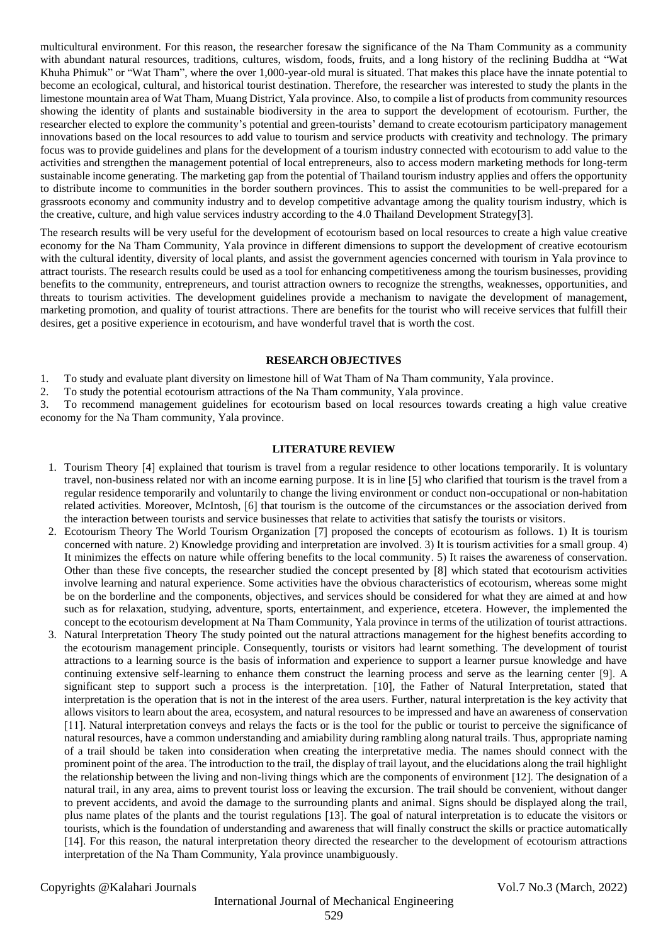multicultural environment. For this reason, the researcher foresaw the significance of the Na Tham Community as a community with abundant natural resources, traditions, cultures, wisdom, foods, fruits, and a long history of the reclining Buddha at "Wat Khuha Phimuk" or "Wat Tham", where the over 1,000-year-old mural is situated. That makes this place have the innate potential to become an ecological, cultural, and historical tourist destination. Therefore, the researcher was interested to study the plants in the limestone mountain area of Wat Tham, Muang District, Yala province. Also, to compile a list of products from community resources showing the identity of plants and sustainable biodiversity in the area to support the development of ecotourism. Further, the researcher elected to explore the community's potential and green-tourists' demand to create ecotourism participatory management innovations based on the local resources to add value to tourism and service products with creativity and technology. The primary focus was to provide guidelines and plans for the development of a tourism industry connected with ecotourism to add value to the activities and strengthen the management potential of local entrepreneurs, also to access modern marketing methods for long-term sustainable income generating. The marketing gap from the potential of Thailand tourism industry applies and offers the opportunity to distribute income to communities in the border southern provinces. This to assist the communities to be well-prepared for a grassroots economy and community industry and to develop competitive advantage among the quality tourism industry, which is the creative, culture, and high value services industry according to the 4.0 Thailand Development Strategy[3].

The research results will be very useful for the development of ecotourism based on local resources to create a high value creative economy for the Na Tham Community, Yala province in different dimensions to support the development of creative ecotourism with the cultural identity, diversity of local plants, and assist the government agencies concerned with tourism in Yala province to attract tourists. The research results could be used as a tool for enhancing competitiveness among the tourism businesses, providing benefits to the community, entrepreneurs, and tourist attraction owners to recognize the strengths, weaknesses, opportunities, and threats to tourism activities. The development guidelines provide a mechanism to navigate the development of management, marketing promotion, and quality of tourist attractions. There are benefits for the tourist who will receive services that fulfill their desires, get a positive experience in ecotourism, and have wonderful travel that is worth the cost.

# **RESEARCH OBJECTIVES**

1. To study and evaluate plant diversity on limestone hill of Wat Tham of Na Tham community, Yala province.

2. To study the potential ecotourism attractions of the Na Tham community, Yala province.

3. To recommend management guidelines for ecotourism based on local resources towards creating a high value creative economy for the Na Tham community, Yala province.

# **LITERATURE REVIEW**

- 1. Tourism Theory [4] explained that tourism is travel from a regular residence to other locations temporarily. It is voluntary travel, non-business related nor with an income earning purpose. It is in line [5] who clarified that tourism is the travel from a regular residence temporarily and voluntarily to change the living environment or conduct non-occupational or non-habitation related activities. Moreover, McIntosh, [6] that tourism is the outcome of the circumstances or the association derived from the interaction between tourists and service businesses that relate to activities that satisfy the tourists or visitors.
- 2. Ecotourism Theory The World Tourism Organization [7] proposed the concepts of ecotourism as follows. 1) It is tourism concerned with nature. 2) Knowledge providing and interpretation are involved. 3) It is tourism activities for a small group. 4) It minimizes the effects on nature while offering benefits to the local community. 5) It raises the awareness of conservation. Other than these five concepts, the researcher studied the concept presented by [8] which stated that ecotourism activities involve learning and natural experience. Some activities have the obvious characteristics of ecotourism, whereas some might be on the borderline and the components, objectives, and services should be considered for what they are aimed at and how such as for relaxation, studying, adventure, sports, entertainment, and experience, etcetera. However, the implemented the concept to the ecotourism development at Na Tham Community, Yala province in terms of the utilization of tourist attractions.
- 3. Natural Interpretation Theory The study pointed out the natural attractions management for the highest benefits according to the ecotourism management principle. Consequently, tourists or visitors had learnt something. The development of tourist attractions to a learning source is the basis of information and experience to support a learner pursue knowledge and have continuing extensive self-learning to enhance them construct the learning process and serve as the learning center [9]. A significant step to support such a process is the interpretation. [10], the Father of Natural Interpretation, stated that interpretation is the operation that is not in the interest of the area users. Further, natural interpretation is the key activity that allows visitors to learn about the area, ecosystem, and natural resources to be impressed and have an awareness of conservation [11]. Natural interpretation conveys and relays the facts or is the tool for the public or tourist to perceive the significance of natural resources, have a common understanding and amiability during rambling along natural trails. Thus, appropriate naming of a trail should be taken into consideration when creating the interpretative media. The names should connect with the prominent point of the area. The introduction to the trail, the display of trail layout, and the elucidations along the trail highlight the relationship between the living and non-living things which are the components of environment [12]. The designation of a natural trail, in any area, aims to prevent tourist loss or leaving the excursion. The trail should be convenient, without danger to prevent accidents, and avoid the damage to the surrounding plants and animal. Signs should be displayed along the trail, plus name plates of the plants and the tourist regulations [13]. The goal of natural interpretation is to educate the visitors or tourists, which is the foundation of understanding and awareness that will finally construct the skills or practice automatically [14]. For this reason, the natural interpretation theory directed the researcher to the development of ecotourism attractions interpretation of the Na Tham Community, Yala province unambiguously.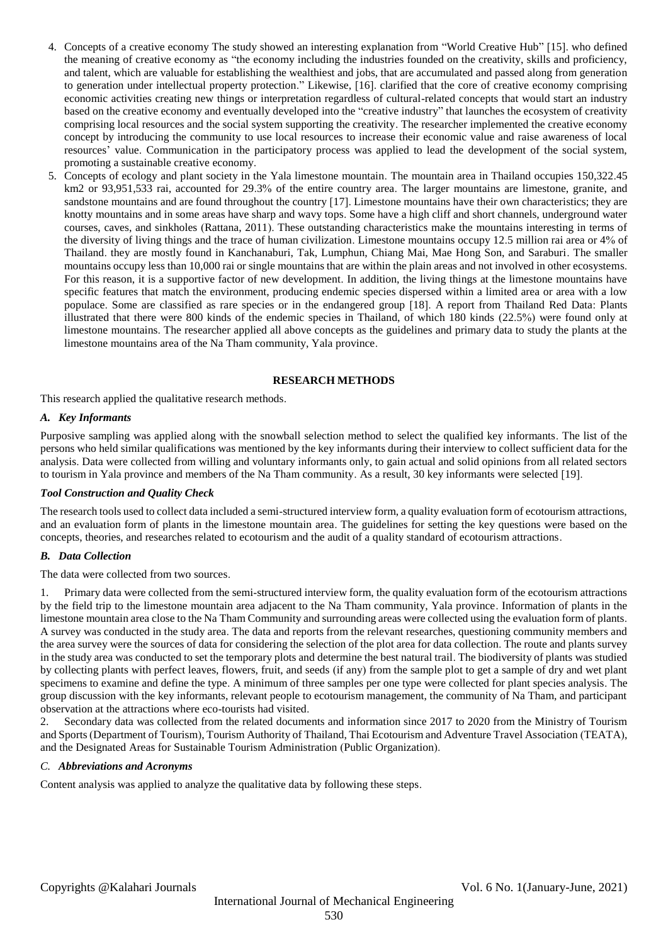- 4. Concepts of a creative economy The study showed an interesting explanation from "World Creative Hub" [15]. who defined the meaning of creative economy as "the economy including the industries founded on the creativity, skills and proficiency, and talent, which are valuable for establishing the wealthiest and jobs, that are accumulated and passed along from generation to generation under intellectual property protection." Likewise, [16]. clarified that the core of creative economy comprising economic activities creating new things or interpretation regardless of cultural-related concepts that would start an industry based on the creative economy and eventually developed into the "creative industry" that launches the ecosystem of creativity comprising local resources and the social system supporting the creativity. The researcher implemented the creative economy concept by introducing the community to use local resources to increase their economic value and raise awareness of local resources' value. Communication in the participatory process was applied to lead the development of the social system, promoting a sustainable creative economy.
- 5. Concepts of ecology and plant society in the Yala limestone mountain. The mountain area in Thailand occupies 150,322.45 km2 or 93,951,533 rai, accounted for 29.3% of the entire country area. The larger mountains are limestone, granite, and sandstone mountains and are found throughout the country [17]. Limestone mountains have their own characteristics; they are knotty mountains and in some areas have sharp and wavy tops. Some have a high cliff and short channels, underground water courses, caves, and sinkholes (Rattana, 2011). These outstanding characteristics make the mountains interesting in terms of the diversity of living things and the trace of human civilization. Limestone mountains occupy 12.5 million rai area or 4% of Thailand. they are mostly found in Kanchanaburi, Tak, Lumphun, Chiang Mai, Mae Hong Son, and Saraburi. The smaller mountains occupy less than 10,000 rai or single mountains that are within the plain areas and not involved in other ecosystems. For this reason, it is a supportive factor of new development. In addition, the living things at the limestone mountains have specific features that match the environment, producing endemic species dispersed within a limited area or area with a low populace. Some are classified as rare species or in the endangered group [18]. A report from Thailand Red Data: Plants illustrated that there were 800 kinds of the endemic species in Thailand, of which 180 kinds (22.5%) were found only at limestone mountains. The researcher applied all above concepts as the guidelines and primary data to study the plants at the limestone mountains area of the Na Tham community, Yala province.

# **RESEARCH METHODS**

This research applied the qualitative research methods.

## *A. Key Informants*

Purposive sampling was applied along with the snowball selection method to select the qualified key informants. The list of the persons who held similar qualifications was mentioned by the key informants during their interview to collect sufficient data for the analysis. Data were collected from willing and voluntary informants only, to gain actual and solid opinions from all related sectors to tourism in Yala province and members of the Na Tham community. As a result, 30 key informants were selected [19].

## *Tool Construction and Quality Check*

The research tools used to collect data included a semi-structured interview form, a quality evaluation form of ecotourism attractions, and an evaluation form of plants in the limestone mountain area. The guidelines for setting the key questions were based on the concepts, theories, and researches related to ecotourism and the audit of a quality standard of ecotourism attractions.

## *B. Data Collection*

The data were collected from two sources.

1. Primary data were collected from the semi-structured interview form, the quality evaluation form of the ecotourism attractions by the field trip to the limestone mountain area adjacent to the Na Tham community, Yala province. Information of plants in the limestone mountain area close to the Na Tham Community and surrounding areas were collected using the evaluation form of plants. A survey was conducted in the study area. The data and reports from the relevant researches, questioning community members and the area survey were the sources of data for considering the selection of the plot area for data collection. The route and plants survey in the study area was conducted to set the temporary plots and determine the best natural trail. The biodiversity of plants was studied by collecting plants with perfect leaves, flowers, fruit, and seeds (if any) from the sample plot to get a sample of dry and wet plant specimens to examine and define the type. A minimum of three samples per one type were collected for plant species analysis. The group discussion with the key informants, relevant people to ecotourism management, the community of Na Tham, and participant observation at the attractions where eco-tourists had visited.

2. Secondary data was collected from the related documents and information since 2017 to 2020 from the Ministry of Tourism and Sports (Department of Tourism), Tourism Authority of Thailand, Thai Ecotourism and Adventure Travel Association (TEATA), and the Designated Areas for Sustainable Tourism Administration (Public Organization).

# *C. Abbreviations and Acronyms*

Content analysis was applied to analyze the qualitative data by following these steps.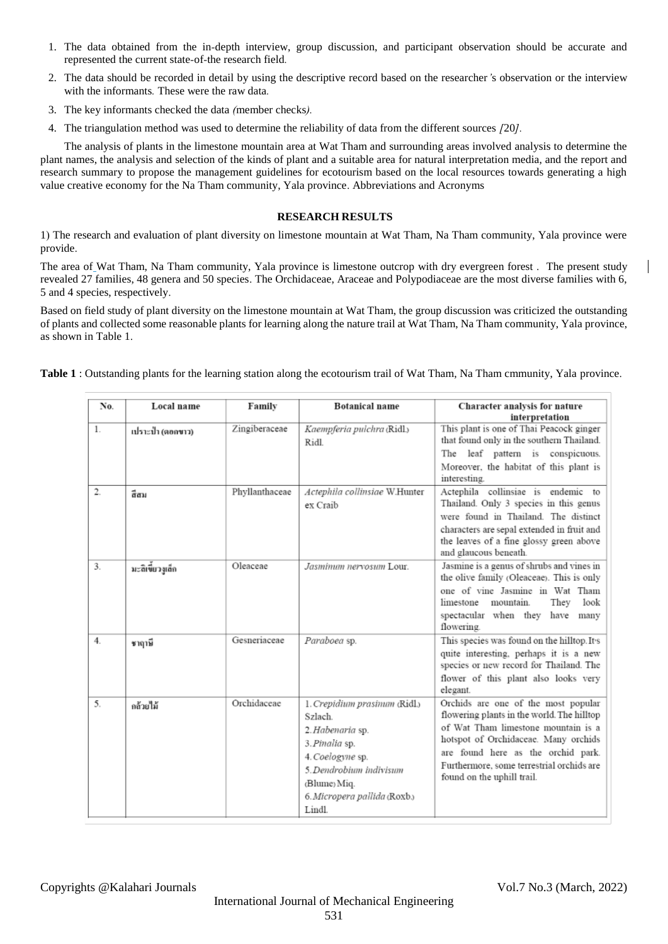- 1. The data obtained from the in*-*depth interview, group discussion, and participant observation should be accurate and represented the current state*-*of*-*the research field*.*
- 2. The data should be recorded in detail by using the descriptive record based on the researcher*'*s observation or the interview with the informants*.* These were the raw data*.*
- 3. The key informants checked the data *(*member checks*).*
- 4. The triangulation method was used to determine the reliability of data from the different sources *[*20*].*

The analysis of plants in the limestone mountain area at Wat Tham and surrounding areas involved analysis to determine the plant names, the analysis and selection of the kinds of plant and a suitable area for natural interpretation media, and the report and research summary to propose the management guidelines for ecotourism based on the local resources towards generating a high value creative economy for the Na Tham community, Yala province. Abbreviations and Acronyms

# **RESEARCH RESULTS**

1) The research and evaluation of plant diversity on limestone mountain at Wat Tham, Na Tham community, Yala province were provide.

The area of Wat Tham, Na Tham community, Yala province is limestone outcrop with dry evergreen forest . The present study revealed 27 families, 48 genera and 50 species. The Orchidaceae, Araceae and Polypodiaceae are the most diverse families with 6, 5 and 4 species, respectively.

Based on field study of plant diversity on the limestone mountain at Wat Tham, the group discussion was criticized the outstanding of plants and collected some reasonable plants for learning along the nature trail at Wat Tham, Na Tham community, Yala province, as shown in Table 1.

**Table 1** : Outstanding plants for the learning station along the ecotourism trail of Wat Tham, Na Tham cmmunity, Yala province.

| No.   | Local name        | Family         | <b>Botanical name</b>                                                                                                                                                                   | <b>Character analysis for nature</b><br>interpretation                                                                                                                                                                                                                            |
|-------|-------------------|----------------|-----------------------------------------------------------------------------------------------------------------------------------------------------------------------------------------|-----------------------------------------------------------------------------------------------------------------------------------------------------------------------------------------------------------------------------------------------------------------------------------|
| $1$ . | เปราะป่า (ตอกขาว) | Zingiberaceae  | Kaempferia pulchra (Ridl.)<br>Ridl.                                                                                                                                                     | This plant is one of Thai Peacock ginger<br>that found only in the southern Thailand.<br>leaf pattern is conspicuous.<br>The<br>Moreover, the habitat of this plant is<br>interesting.                                                                                            |
| 2.    | ลี่สม             | Phyllanthaceae | Actephila collinsiae W.Hunter<br>ex Craib                                                                                                                                               | Actephila collinsiae is endemic to<br>Thailand. Only 3 species in this genus<br>were found in Thailand. The distinct<br>characters are sepal extended in fruit and<br>the leaves of a fine glossy green above<br>and glaucous beneath.                                            |
| 3.    | มะลิเขี้ยวงูเล็ก  | Oleaceae       | Jasminum nervosum Lour.                                                                                                                                                                 | Jasmine is a genus of shrubs and vines in<br>the olive family (Oleaceae). This is only<br>one of vine Jasmine in Wat Tham<br>They<br>look<br>mountain.<br>limestone<br>spectacular when they have<br>many<br>flowering.                                                           |
| 4.    | ชาฤาษี            | Gesneriaceae   | Paraboea sp.                                                                                                                                                                            | This species was found on the hilltop. It's<br>quite interesting, perhaps it is a new<br>species or new record for Thailand. The<br>flower of this plant also looks very<br>elegant.                                                                                              |
| 5.    | กล้วยไม้          | Orchidaceae    | 1. Crepidium prasinum (Ridl.)<br>Szlach.<br>2. Habenaria sp.<br>3. Pinalia sp.<br>4. Coelogyne sp.<br>5. Dendrobium indivisum<br>(Blume) Miq.<br>6. Micropera pallida (Roxb.)<br>Lindl. | Orchids are one of the most popular<br>flowering plants in the world. The hilltop<br>of Wat Tham limestone mountain is a<br>hotspot of Orchidaceae. Many orchids<br>are found here as the orchid park.<br>Furthermore, some terrestrial orchids are<br>found on the uphill trail. |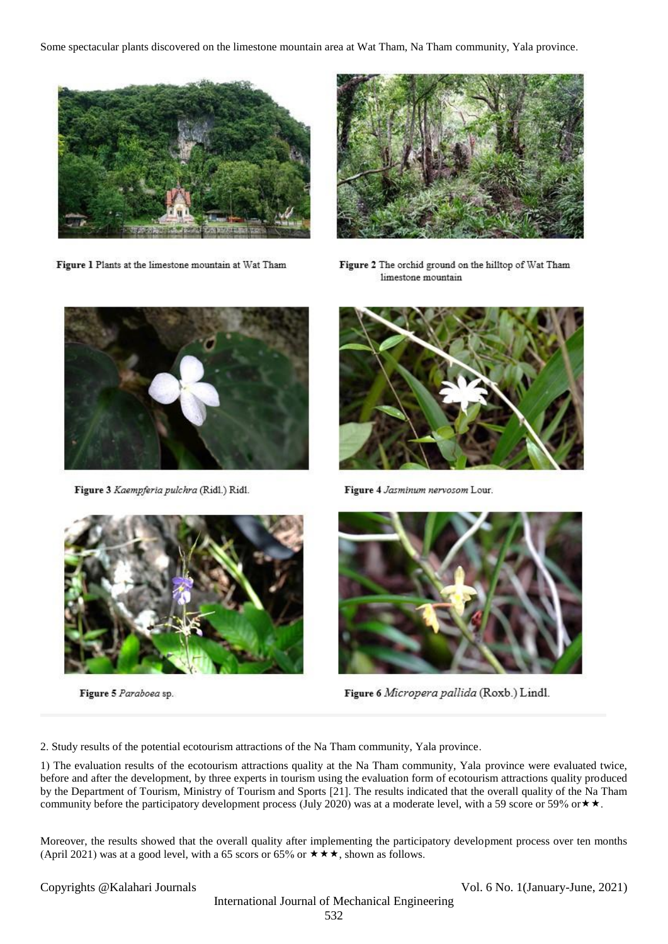Some spectacular plants discovered on the limestone mountain area at Wat Tham, Na Tham community, Yala province.



Figure 1 Plants at the limestone mountain at Wat Tham



Figure 2 The orchid ground on the hilltop of Wat Tham limestone mountain



Figure 3 Kaempferia pulchra (Ridl.) Ridl.



Figure 5 Paraboea sp.



Figure 4 Jasminum nervosom Lour.



Figure 6 Micropera pallida (Roxb.) Lindl.

2. Study results of the potential ecotourism attractions of the Na Tham community, Yala province.

1) The evaluation results of the ecotourism attractions quality at the Na Tham community, Yala province were evaluated twice, before and after the development, by three experts in tourism using the evaluation form of ecotourism attractions quality produced by the Department of Tourism, Ministry of Tourism and Sports [21]. The results indicated that the overall quality of the Na Tham community before the participatory development process (July 2020) was at a moderate level, with a 59 score or 59% or  $\star \star$ .

Moreover, the results showed that the overall quality after implementing the participatory development process over ten months (April 2021) was at a good level, with a 65 scors or 65% or  $\star \star \star$ , shown as follows.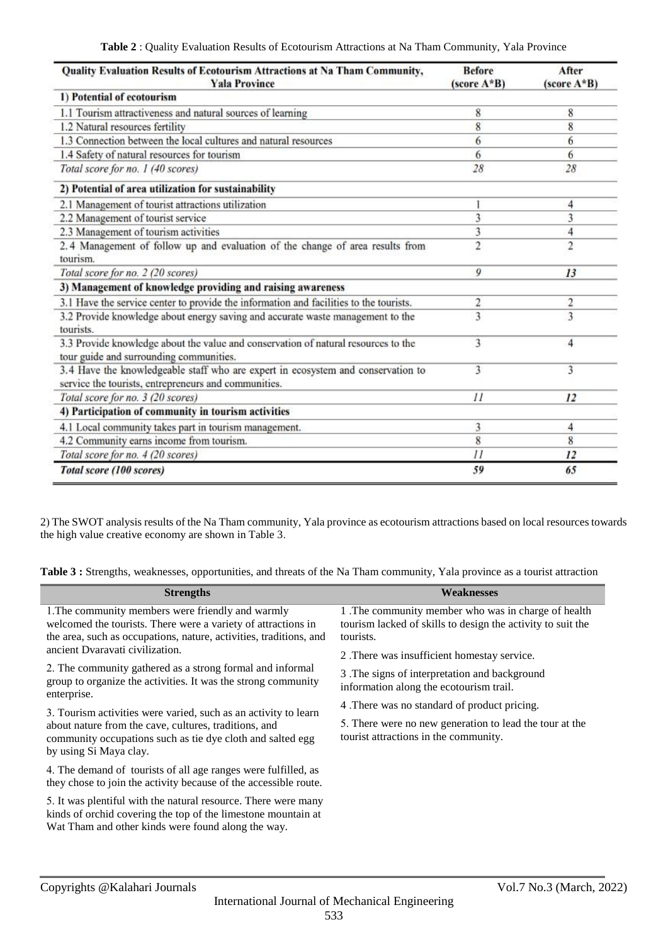| Quality Evaluation Results of Ecotourism Attractions at Na Tham Community,<br><b>Yala Province</b>                                       | <b>Before</b><br>(score $A * B$ ) | After<br>$(score A*B)$ |
|------------------------------------------------------------------------------------------------------------------------------------------|-----------------------------------|------------------------|
| 1) Potential of ecotourism                                                                                                               |                                   |                        |
| 1.1 Tourism attractiveness and natural sources of learning                                                                               | 8                                 | 8                      |
| 1.2 Natural resources fertility                                                                                                          | 8                                 | 8                      |
| 1.3 Connection between the local cultures and natural resources                                                                          | 6                                 | 6                      |
| 1.4 Safety of natural resources for tourism                                                                                              | 6                                 | 6                      |
| Total score for no. 1 (40 scores)                                                                                                        | 28                                | 28                     |
| 2) Potential of area utilization for sustainability                                                                                      |                                   |                        |
| 2.1 Management of tourist attractions utilization                                                                                        |                                   | 4                      |
| 2.2 Management of tourist service                                                                                                        | 3                                 | 3                      |
| 2.3 Management of tourism activities                                                                                                     | 3                                 | 4                      |
| 2.4 Management of follow up and evaluation of the change of area results from<br>tourism.                                                | $\overline{c}$                    | $\overline{c}$         |
| Total score for no. 2 (20 scores)                                                                                                        | 9                                 | 13                     |
| 3) Management of knowledge providing and raising awareness                                                                               |                                   |                        |
| 3.1 Have the service center to provide the information and facilities to the tourists.                                                   | 2                                 | $\overline{2}$         |
| 3.2 Provide knowledge about energy saving and accurate waste management to the<br>tourists.                                              | 3                                 | 3                      |
| 3.3 Provide knowledge about the value and conservation of natural resources to the<br>tour guide and surrounding communities.            | 3                                 | 4                      |
| 3.4 Have the knowledgeable staff who are expert in ecosystem and conservation to<br>service the tourists, entrepreneurs and communities. | 3                                 | 3                      |
| Total score for no. 3 (20 scores)                                                                                                        | $_{11}$                           | 12                     |
| 4) Participation of community in tourism activities                                                                                      |                                   |                        |
| 4.1 Local community takes part in tourism management.                                                                                    | 3                                 | 4                      |
| 4.2 Community earns income from tourism.                                                                                                 | 8                                 | 8                      |
| Total score for no. 4 (20 scores)                                                                                                        | $_{11}$                           | 12                     |
| Total score (100 scores)                                                                                                                 | 59                                | 65                     |

2) The SWOT analysis results of the Na Tham community, Yala province as ecotourism attractions based on local resources towards the high value creative economy are shown in Table 3.

**Table 3 :** Strengths, weaknesses, opportunities, and threats of the Na Tham community, Yala province as a tourist attraction

| <b>Strengths</b>                                                                                                                                                                         | Weaknesses                                                                                                                      |
|------------------------------------------------------------------------------------------------------------------------------------------------------------------------------------------|---------------------------------------------------------------------------------------------------------------------------------|
| 1. The community members were friendly and warmly<br>welcomed the tourists. There were a variety of attractions in<br>the area, such as occupations, nature, activities, traditions, and | 1. The community member who was in charge of health<br>tourism lacked of skills to design the activity to suit the<br>tourists. |
| ancient Dvaravati civilization.                                                                                                                                                          | 2. There was insufficient homestay service.                                                                                     |
| 2. The community gathered as a strong formal and informal<br>group to organize the activities. It was the strong community<br>enterprise.                                                | 3. The signs of interpretation and background<br>information along the ecotourism trail.                                        |
| 3. Tourism activities were varied, such as an activity to learn                                                                                                                          | 4. There was no standard of product pricing.                                                                                    |
| about nature from the cave, cultures, traditions, and<br>community occupations such as tie dye cloth and salted egg<br>by using Si Maya clay.                                            | 5. There were no new generation to lead the tour at the<br>tourist attractions in the community.                                |
| 4. The demand of tourists of all age ranges were fulfilled, as<br>they chose to join the activity because of the accessible route.                                                       |                                                                                                                                 |
| 5. It was plentiful with the natural resource. There were many<br>kinds of orchid covering the top of the limestone mountain at<br>Wat Tham and other kinds were found along the way.    |                                                                                                                                 |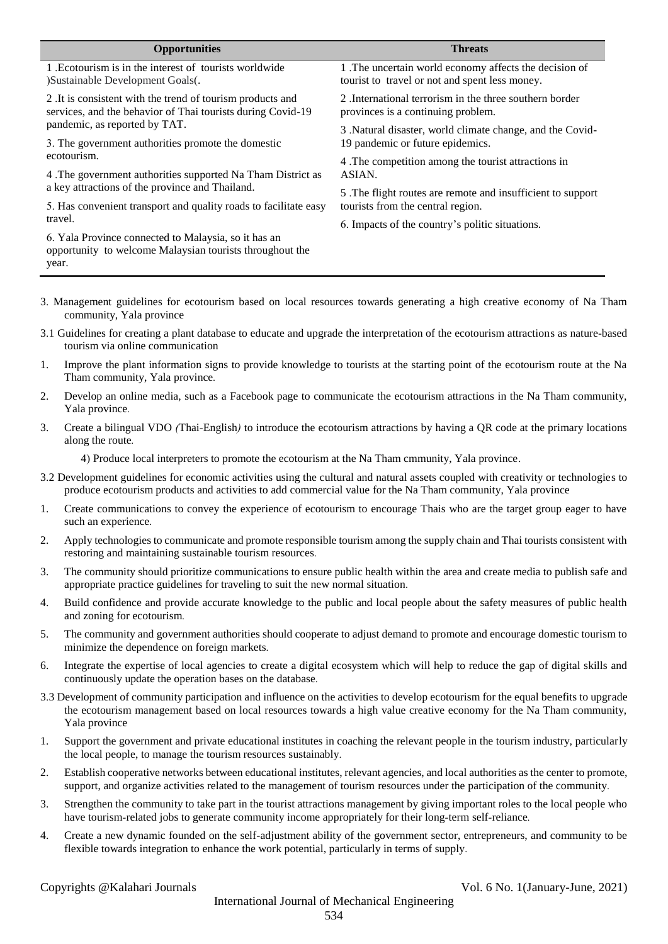| <b>Opportunities</b>                                                                                                      | <b>Threats</b>                                              |
|---------------------------------------------------------------------------------------------------------------------------|-------------------------------------------------------------|
| 1. Ecotourism is in the interest of tourists worldwide                                                                    | 1 .The uncertain world economy affects the decision of      |
| )Sustainable Development Goals(.                                                                                          | tourist to travel or not and spent less money.              |
| 2. It is consistent with the trend of tourism products and                                                                | 2. International terrorism in the three southern border     |
| services, and the behavior of Thai tourists during Covid-19                                                               | provinces is a continuing problem.                          |
| pandemic, as reported by TAT.                                                                                             | 3. Natural disaster, world climate change, and the Covid-   |
| 3. The government authorities promote the domestic                                                                        | 19 pandemic or future epidemics.                            |
| ecotourism.                                                                                                               | 4. The competition among the tourist attractions in         |
| 4. The government authorities supported Na Tham District as                                                               | ASIAN.                                                      |
| a key attractions of the province and Thailand.                                                                           | 5. The flight routes are remote and insufficient to support |
| 5. Has convenient transport and quality roads to facilitate easy                                                          | tourists from the central region.                           |
| travel.                                                                                                                   | 6. Impacts of the country's politic situations.             |
| 6. Yala Province connected to Malaysia, so it has an<br>opportunity to welcome Malaysian tourists throughout the<br>year. |                                                             |

- 3. Management guidelines for ecotourism based on local resources towards generating a high creative economy of Na Tham community, Yala province
- 3.1 Guidelines for creating a plant database to educate and upgrade the interpretation of the ecotourism attractions as nature-based tourism via online communication
- 1. Improve the plant information signs to provide knowledge to tourists at the starting point of the ecotourism route at the Na Tham community, Yala province*.*
- 2. Develop an online media, such as a Facebook page to communicate the ecotourism attractions in the Na Tham community, Yala province*.*
- 3. Create a bilingual VDO *(*Thai*-*English*)* to introduce the ecotourism attractions by having a QR code at the primary locations along the route*.*

4) Produce local interpreters to promote the ecotourism at the Na Tham cmmunity, Yala province.

- 3.2 Development guidelines for economic activities using the cultural and natural assets coupled with creativity or technologies to produce ecotourism products and activities to add commercial value for the Na Tham community, Yala province
- 1. Create communications to convey the experience of ecotourism to encourage Thais who are the target group eager to have such an experience*.*
- 2. Apply technologies to communicate and promote responsible tourism among the supply chain and Thai tourists consistent with restoring and maintaining sustainable tourism resources*.*
- 3. The community should prioritize communications to ensure public health within the area and create media to publish safe and appropriate practice guidelines for traveling to suit the new normal situation*.*
- 4. Build confidence and provide accurate knowledge to the public and local people about the safety measures of public health and zoning for ecotourism*.*
- 5. The community and government authorities should cooperate to adjust demand to promote and encourage domestic tourism to minimize the dependence on foreign markets*.*
- 6. Integrate the expertise of local agencies to create a digital ecosystem which will help to reduce the gap of digital skills and continuously update the operation bases on the database*.*
- 3.3 Development of community participation and influence on the activities to develop ecotourism for the equal benefits to upgrade the ecotourism management based on local resources towards a high value creative economy for the Na Tham community, Yala province
- 1. Support the government and private educational institutes in coaching the relevant people in the tourism industry, particularly the local people, to manage the tourism resources sustainably*.*
- 2. Establish cooperative networks between educational institutes, relevant agencies, and local authorities as the center to promote, support, and organize activities related to the management of tourism resources under the participation of the community*.*
- 3. Strengthen the community to take part in the tourist attractions management by giving important roles to the local people who have tourism*-*related jobs to generate community income appropriately for their long*-*term self*-*reliance*.*
- 4. Create a new dynamic founded on the self*-*adjustment ability of the government sector, entrepreneurs, and community to be flexible towards integration to enhance the work potential, particularly in terms of supply*.*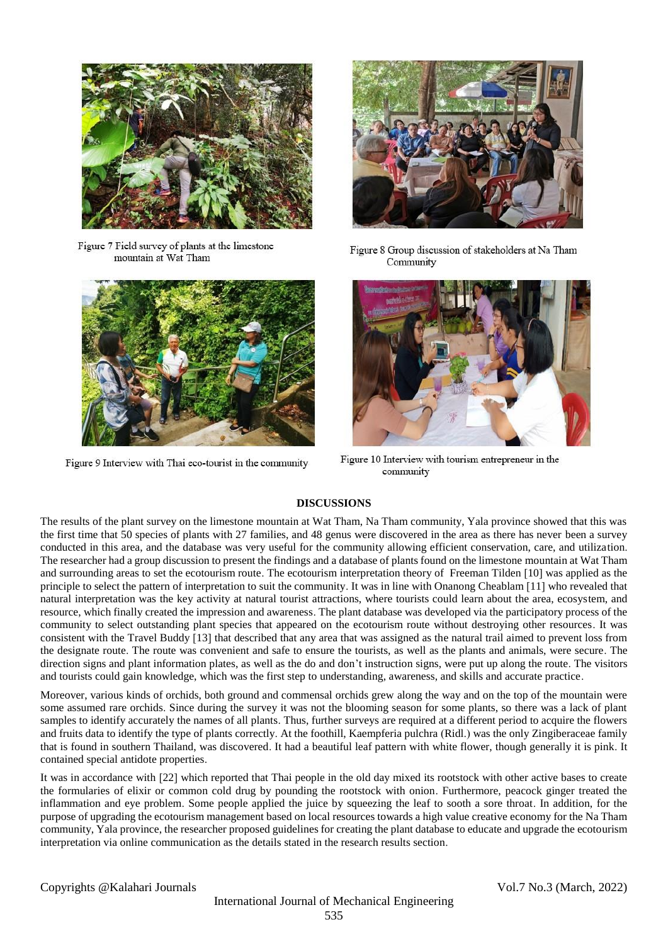

Figure 7 Field survey of plants at the limestone mountain at Wat Tham



Figure 9 Interview with Thai eco-tourist in the community



Figure 8 Group discussion of stakeholders at Na Tham Community



Figure 10 Interview with tourism entrepreneur in the community

# **DISCUSSIONS**

The results of the plant survey on the limestone mountain at Wat Tham, Na Tham community, Yala province showed that this was the first time that 50 species of plants with 27 families, and 48 genus were discovered in the area as there has never been a survey conducted in this area, and the database was very useful for the community allowing efficient conservation, care, and utilization. The researcher had a group discussion to present the findings and a database of plants found on the limestone mountain at Wat Tham and surrounding areas to set the ecotourism route. The ecotourism interpretation theory of Freeman Tilden [10] was applied as the principle to select the pattern of interpretation to suit the community. It was in line with Onanong Cheablam [11] who revealed that natural interpretation was the key activity at natural tourist attractions, where tourists could learn about the area, ecosystem, and resource, which finally created the impression and awareness. The plant database was developed via the participatory process of the community to select outstanding plant species that appeared on the ecotourism route without destroying other resources. It was consistent with the Travel Buddy [13] that described that any area that was assigned as the natural trail aimed to prevent loss from the designate route. The route was convenient and safe to ensure the tourists, as well as the plants and animals, were secure. The direction signs and plant information plates, as well as the do and don't instruction signs, were put up along the route. The visitors and tourists could gain knowledge, which was the first step to understanding, awareness, and skills and accurate practice.

Moreover, various kinds of orchids, both ground and commensal orchids grew along the way and on the top of the mountain were some assumed rare orchids. Since during the survey it was not the blooming season for some plants, so there was a lack of plant samples to identify accurately the names of all plants. Thus, further surveys are required at a different period to acquire the flowers and fruits data to identify the type of plants correctly. At the foothill, Kaempferia pulchra (Ridl.) was the only Zingiberaceae family that is found in southern Thailand, was discovered. It had a beautiful leaf pattern with white flower, though generally it is pink. It contained special antidote properties.

It was in accordance with [22] which reported that Thai people in the old day mixed its rootstock with other active bases to create the formularies of elixir or common cold drug by pounding the rootstock with onion. Furthermore, peacock ginger treated the inflammation and eye problem. Some people applied the juice by squeezing the leaf to sooth a sore throat. In addition, for the purpose of upgrading the ecotourism management based on local resources towards a high value creative economy for the Na Tham community, Yala province, the researcher proposed guidelines for creating the plant database to educate and upgrade the ecotourism interpretation via online communication as the details stated in the research results section.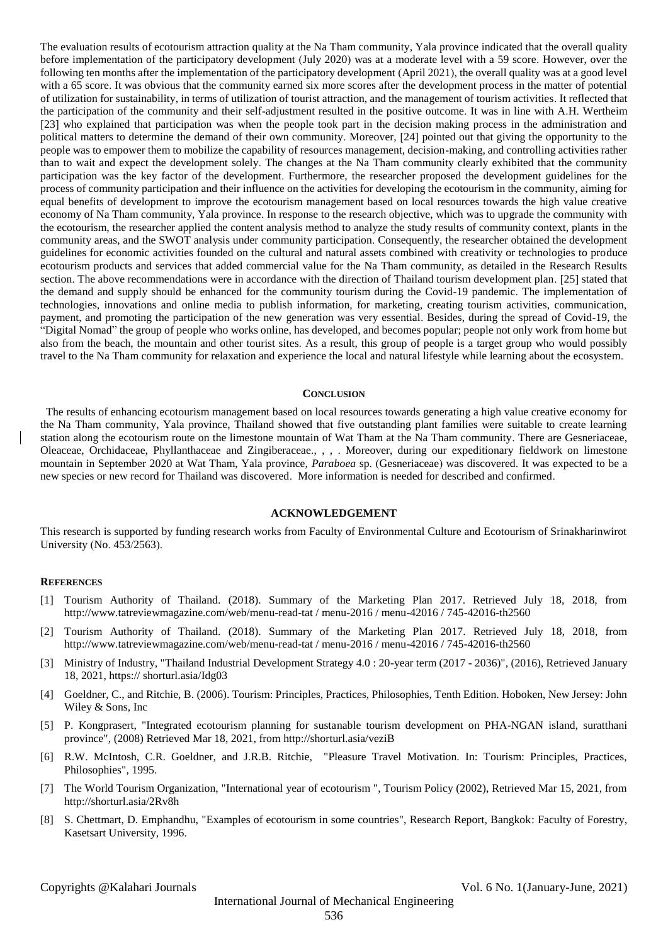The evaluation results of ecotourism attraction quality at the Na Tham community, Yala province indicated that the overall quality before implementation of the participatory development (July 2020) was at a moderate level with a 59 score. However, over the following ten months after the implementation of the participatory development (April 2021), the overall quality was at a good level with a 65 score. It was obvious that the community earned six more scores after the development process in the matter of potential of utilization for sustainability, in terms of utilization of tourist attraction, and the management of tourism activities. It reflected that the participation of the community and their self-adjustment resulted in the positive outcome. It was in line with A.H. Wertheim [23] who explained that participation was when the people took part in the decision making process in the administration and political matters to determine the demand of their own community. Moreover, [24] pointed out that giving the opportunity to the people was to empower them to mobilize the capability of resources management, decision-making, and controlling activities rather than to wait and expect the development solely. The changes at the Na Tham community clearly exhibited that the community participation was the key factor of the development. Furthermore, the researcher proposed the development guidelines for the process of community participation and their influence on the activities for developing the ecotourism in the community, aiming for equal benefits of development to improve the ecotourism management based on local resources towards the high value creative economy of Na Tham community, Yala province. In response to the research objective, which was to upgrade the community with the ecotourism, the researcher applied the content analysis method to analyze the study results of community context, plants in the community areas, and the SWOT analysis under community participation. Consequently, the researcher obtained the development guidelines for economic activities founded on the cultural and natural assets combined with creativity or technologies to produce ecotourism products and services that added commercial value for the Na Tham community, as detailed in the Research Results section. The above recommendations were in accordance with the direction of Thailand tourism development plan. [25] stated that the demand and supply should be enhanced for the community tourism during the Covid-19 pandemic. The implementation of technologies, innovations and online media to publish information, for marketing, creating tourism activities, communication, payment, and promoting the participation of the new generation was very essential. Besides, during the spread of Covid-19, the "Digital Nomad" the group of people who works online, has developed, and becomes popular; people not only work from home but also from the beach, the mountain and other tourist sites. As a result, this group of people is a target group who would possibly travel to the Na Tham community for relaxation and experience the local and natural lifestyle while learning about the ecosystem.

#### **CONCLUSION**

 The results of enhancing ecotourism management based on local resources towards generating a high value creative economy for the Na Tham community, Yala province, Thailand showed that five outstanding plant families were suitable to create learning station along the ecotourism route on the limestone mountain of Wat Tham at the Na Tham community. There are Gesneriaceae, Oleaceae, Orchidaceae, Phyllanthaceae and Zingiberaceae., , , . Moreover, during our expeditionary fieldwork on limestone mountain in September 2020 at Wat Tham, Yala province, *Paraboea* sp. (Gesneriaceae) was discovered. It was expected to be a new species or new record for Thailand was discovered. More information is needed for described and confirmed.

#### **ACKNOWLEDGEMENT**

This research is supported by funding research works from Faculty of Environmental Culture and Ecotourism of Srinakharinwirot University (No. 453/2563).

### **REFERENCES**

- [1] Tourism Authority of Thailand. (2018). Summary of the Marketing Plan 2017. Retrieved July 18, 2018, from http://www.tatreviewmagazine.com/web/menu-read-tat / menu-2016 / menu-42016 / 745-42016-th2560
- [2] Tourism Authority of Thailand. (2018). Summary of the Marketing Plan 2017. Retrieved July 18, 2018, from http://www.tatreviewmagazine.com/web/menu-read-tat / menu-2016 / menu-42016 / 745-42016-th2560
- [3] Ministry of Industry, "Thailand Industrial Development Strategy 4.0 : 20-year term (2017 2036)", (2016), Retrieved January 18, 2021, https:// shorturl.asia/Idg03
- [4] Goeldner, C., and Ritchie, B. (2006). Tourism: Principles, Practices, Philosophies, Tenth Edition. Hoboken, New Jersey: John Wiley & Sons, Inc
- [5] P. Kongprasert, "Integrated ecotourism planning for sustanable tourism development on PHA-NGAN island, suratthani province", (2008) Retrieved Mar 18, 2021, from http://shorturl.asia/veziB
- [6] R.W. McIntosh, C.R. Goeldner, and J.R.B. Ritchie, "Pleasure Travel Motivation. In: Tourism: Principles, Practices, Philosophies", 1995.
- [7] The World Tourism Organization, "International year of ecotourism ", Tourism Policy (2002), Retrieved Mar 15, 2021, from http://shorturl.asia/2Rv8h
- [8] S. Chettmart, D. Emphandhu, "Examples of ecotourism in some countries", Research Report, Bangkok: Faculty of Forestry, Kasetsart University, 1996.